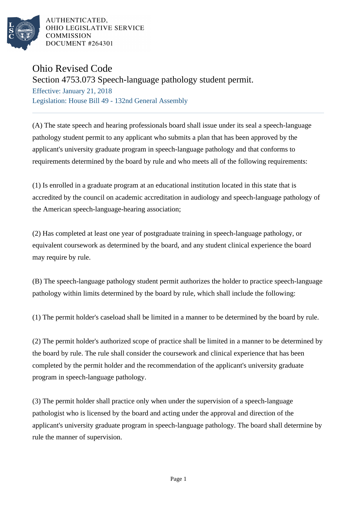

AUTHENTICATED. OHIO LEGISLATIVE SERVICE **COMMISSION DOCUMENT #264301** 

## Ohio Revised Code

Section 4753.073 Speech-language pathology student permit.

Effective: January 21, 2018 Legislation: House Bill 49 - 132nd General Assembly

(A) The state speech and hearing professionals board shall issue under its seal a speech-language pathology student permit to any applicant who submits a plan that has been approved by the applicant's university graduate program in speech-language pathology and that conforms to requirements determined by the board by rule and who meets all of the following requirements:

(1) Is enrolled in a graduate program at an educational institution located in this state that is accredited by the council on academic accreditation in audiology and speech-language pathology of the American speech-language-hearing association;

(2) Has completed at least one year of postgraduate training in speech-language pathology, or equivalent coursework as determined by the board, and any student clinical experience the board may require by rule.

(B) The speech-language pathology student permit authorizes the holder to practice speech-language pathology within limits determined by the board by rule, which shall include the following:

(1) The permit holder's caseload shall be limited in a manner to be determined by the board by rule.

(2) The permit holder's authorized scope of practice shall be limited in a manner to be determined by the board by rule. The rule shall consider the coursework and clinical experience that has been completed by the permit holder and the recommendation of the applicant's university graduate program in speech-language pathology.

(3) The permit holder shall practice only when under the supervision of a speech-language pathologist who is licensed by the board and acting under the approval and direction of the applicant's university graduate program in speech-language pathology. The board shall determine by rule the manner of supervision.